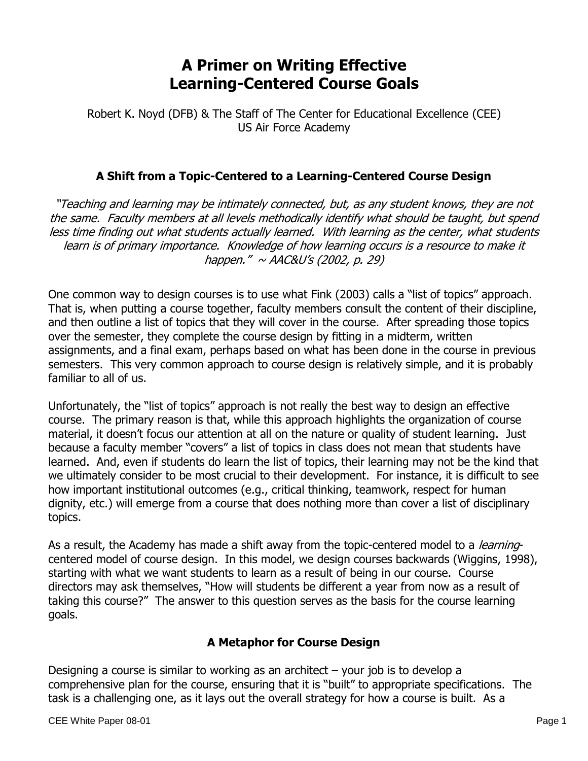# **A Primer on Writing Effective Learning-Centered Course Goals**

Robert K. Noyd (DFB) & The Staff of The Center for Educational Excellence (CEE) US Air Force Academy

#### **A Shift from a Topic-Centered to a Learning-Centered Course Design**

"Teaching and learning may be intimately connected, but, as any student knows, they are not the same. Faculty members at all levels methodically identify what should be taught, but spend less time finding out what students actually learned. With learning as the center, what students learn is of primary importance. Knowledge of how learning occurs is a resource to make it happen."  $\sim$  AAC&U's (2002, p. 29)

One common way to design courses is to use what Fink (2003) calls a "list of topics" approach. That is, when putting a course together, faculty members consult the content of their discipline, and then outline a list of topics that they will cover in the course. After spreading those topics over the semester, they complete the course design by fitting in a midterm, written assignments, and a final exam, perhaps based on what has been done in the course in previous semesters. This very common approach to course design is relatively simple, and it is probably familiar to all of us.

Unfortunately, the "list of topics" approach is not really the best way to design an effective course. The primary reason is that, while this approach highlights the organization of course material, it doesn't focus our attention at all on the nature or quality of student learning. Just because a faculty member "covers" a list of topics in class does not mean that students have learned. And, even if students do learn the list of topics, their learning may not be the kind that we ultimately consider to be most crucial to their development. For instance, it is difficult to see how important institutional outcomes (e.g., critical thinking, teamwork, respect for human dignity, etc.) will emerge from a course that does nothing more than cover a list of disciplinary topics.

As a result, the Academy has made a shift away from the topic-centered model to a *learning*centered model of course design. In this model, we design courses backwards (Wiggins, 1998), starting with what we want students to learn as a result of being in our course. Course directors may ask themselves, "How will students be different a year from now as a result of taking this course?" The answer to this question serves as the basis for the course learning goals.

#### **A Metaphor for Course Design**

Designing a course is similar to working as an architect – your job is to develop a comprehensive plan for the course, ensuring that it is "built" to appropriate specifications. The task is a challenging one, as it lays out the overall strategy for how a course is built. As a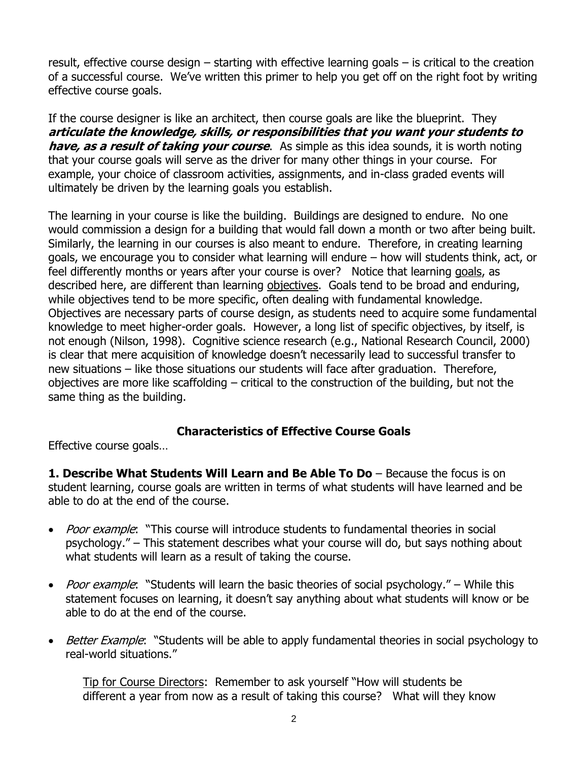result, effective course design – starting with effective learning goals – is critical to the creation of a successful course. We've written this primer to help you get off on the right foot by writing effective course goals.

If the course designer is like an architect, then course goals are like the blueprint. They **articulate the knowledge, skills, or responsibilities that you want your students to have, as a result of taking your course**. As simple as this idea sounds, it is worth noting that your course goals will serve as the driver for many other things in your course. For example, your choice of classroom activities, assignments, and in-class graded events will ultimately be driven by the learning goals you establish.

The learning in your course is like the building. Buildings are designed to endure. No one would commission a design for a building that would fall down a month or two after being built. Similarly, the learning in our courses is also meant to endure. Therefore, in creating learning goals, we encourage you to consider what learning will endure – how will students think, act, or feel differently months or years after your course is over? Notice that learning goals, as described here, are different than learning objectives. Goals tend to be broad and enduring, while objectives tend to be more specific, often dealing with fundamental knowledge. Objectives are necessary parts of course design, as students need to acquire some fundamental knowledge to meet higher-order goals. However, a long list of specific objectives, by itself, is not enough (Nilson, 1998). Cognitive science research (e.g., National Research Council, 2000) is clear that mere acquisition of knowledge doesn't necessarily lead to successful transfer to new situations – like those situations our students will face after graduation. Therefore, objectives are more like scaffolding – critical to the construction of the building, but not the same thing as the building.

#### **Characteristics of Effective Course Goals**

Effective course goals…

**1. Describe What Students Will Learn and Be Able To Do** – Because the focus is on student learning, course goals are written in terms of what students will have learned and be able to do at the end of the course.

- Poor example: "This course will introduce students to fundamental theories in social psychology." – This statement describes what your course will do, but says nothing about what students will learn as a result of taking the course.
- Poor example: "Students will learn the basic theories of social psychology." While this statement focuses on learning, it doesn't say anything about what students will know or be able to do at the end of the course.
- Better Example: "Students will be able to apply fundamental theories in social psychology to real-world situations."

Tip for Course Directors: Remember to ask yourself "How will students be different a year from now as a result of taking this course? What will they know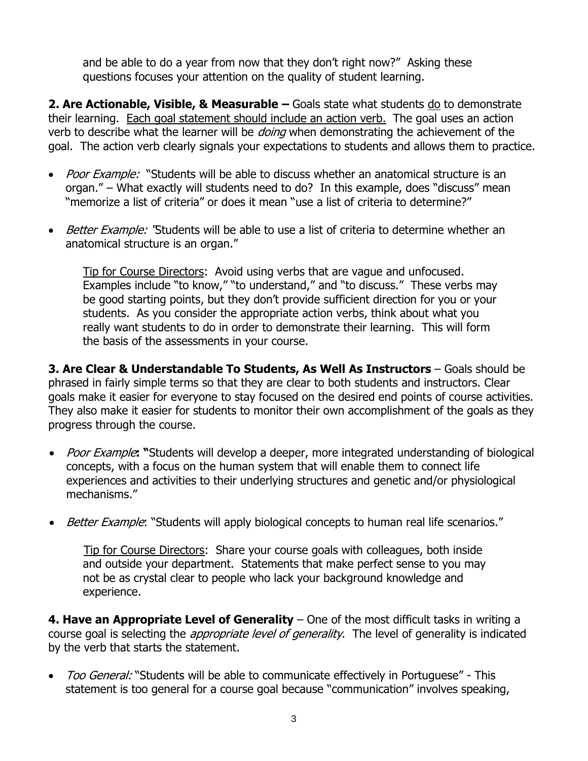and be able to do a year from now that they don't right now?" Asking these questions focuses your attention on the quality of student learning.

**2. Are Actionable, Visible, & Measurable** – Goals state what students <u>do</u> to demonstrate their learning. Each goal statement should include an action verb.The goal uses an action verb to describe what the learner will be *doing* when demonstrating the achievement of the goal. The action verb clearly signals your expectations to students and allows them to practice.

- Poor Example: "Students will be able to discuss whether an anatomical structure is an organ." – What exactly will students need to do? In this example, does "discuss" mean "memorize a list of criteria" or does it mean "use a list of criteria to determine?"
- Better Example: "Students will be able to use a list of criteria to determine whether an anatomical structure is an organ."

Tip for Course Directors: Avoid using verbs that are vague and unfocused. Examples include "to know," "to understand," and "to discuss." These verbs may be good starting points, but they don't provide sufficient direction for you or your students. As you consider the appropriate action verbs, think about what you really want students to do in order to demonstrate their learning. This will form the basis of the assessments in your course.

**3. Are Clear & Understandable To Students, As Well As Instructors** – Goals should be phrased in fairly simple terms so that they are clear to both students and instructors. Clear goals make it easier for everyone to stay focused on the desired end points of course activities. They also make it easier for students to monitor their own accomplishment of the goals as they progress through the course.

- *Poor Example*: "Students will develop a deeper, more integrated understanding of biological concepts, with a focus on the human system that will enable them to connect life experiences and activities to their underlying structures and genetic and/or physiological mechanisms."
- Better Example: "Students will apply biological concepts to human real life scenarios."

Tip for Course Directors: Share your course goals with colleagues, both inside and outside your department. Statements that make perfect sense to you may not be as crystal clear to people who lack your background knowledge and experience.

**4. Have an Appropriate Level of Generality** – One of the most difficult tasks in writing a course goal is selecting the *appropriate level of generality*. The level of generality is indicated by the verb that starts the statement.

• Too General: "Students will be able to communicate effectively in Portuguese" - This statement is too general for a course goal because "communication" involves speaking,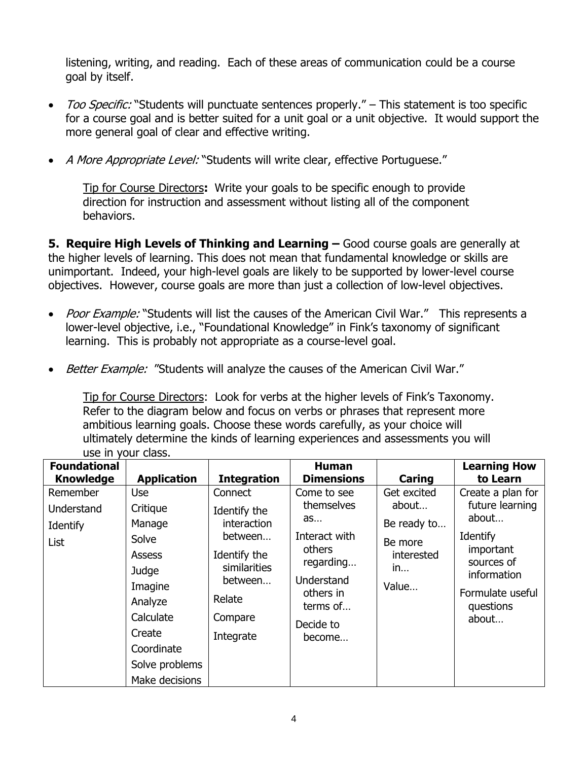listening, writing, and reading. Each of these areas of communication could be a course goal by itself.

- Too Specific: "Students will punctuate sentences properly." This statement is too specific for a course goal and is better suited for a unit goal or a unit objective. It would support the more general goal of clear and effective writing.
- A More Appropriate Level: "Students will write clear, effective Portuguese."

Tip for Course Directors**:** Write your goals to be specific enough to provide direction for instruction and assessment without listing all of the component behaviors.

**5. Require High Levels of Thinking and Learning –** Good course goals are generally at the higher levels of learning. This does not mean that fundamental knowledge or skills are unimportant. Indeed, your high-level goals are likely to be supported by lower-level course objectives. However, course goals are more than just a collection of low-level objectives.

- Poor Example: "Students will list the causes of the American Civil War." This represents a lower-level objective, i.e., "Foundational Knowledge" in Fink's taxonomy of significant learning. This is probably not appropriate as a course-level goal.
- Better Example: "Students will analyze the causes of the American Civil War."

Tip for Course Directors: Look for verbs at the higher levels of Fink's Taxonomy. Refer to the diagram below and focus on verbs or phrases that represent more ambitious learning goals. Choose these words carefully, as your choice will ultimately determine the kinds of learning experiences and assessments you will use in your class.

| <b>Foundational</b><br><b>Knowledge</b>    | <b>Application</b>                                                                                                                                   | <b>Integration</b>                                                                                                                    | <b>Human</b><br><b>Dimensions</b>                                                                                                     | Caring                                                                      | <b>Learning How</b><br>to Learn                                                                                                               |
|--------------------------------------------|------------------------------------------------------------------------------------------------------------------------------------------------------|---------------------------------------------------------------------------------------------------------------------------------------|---------------------------------------------------------------------------------------------------------------------------------------|-----------------------------------------------------------------------------|-----------------------------------------------------------------------------------------------------------------------------------------------|
| Remember<br>Understand<br>Identify<br>List | Use<br>Critique<br>Manage<br>Solve<br>Assess<br>Judge<br>Imagine<br>Analyze<br>Calculate<br>Create<br>Coordinate<br>Solve problems<br>Make decisions | Connect<br>Identify the<br><i>interaction</i><br>between<br>Identify the<br>similarities<br>between<br>Relate<br>Compare<br>Integrate | Come to see<br>themselves<br>as<br>Interact with<br>others<br>regarding<br>Understand<br>others in<br>terms of<br>Decide to<br>become | Get excited<br>about<br>Be ready to<br>Be more<br>interested<br>in<br>Value | Create a plan for<br>future learning<br>about<br>Identify<br>important<br>sources of<br>information<br>Formulate useful<br>questions<br>about |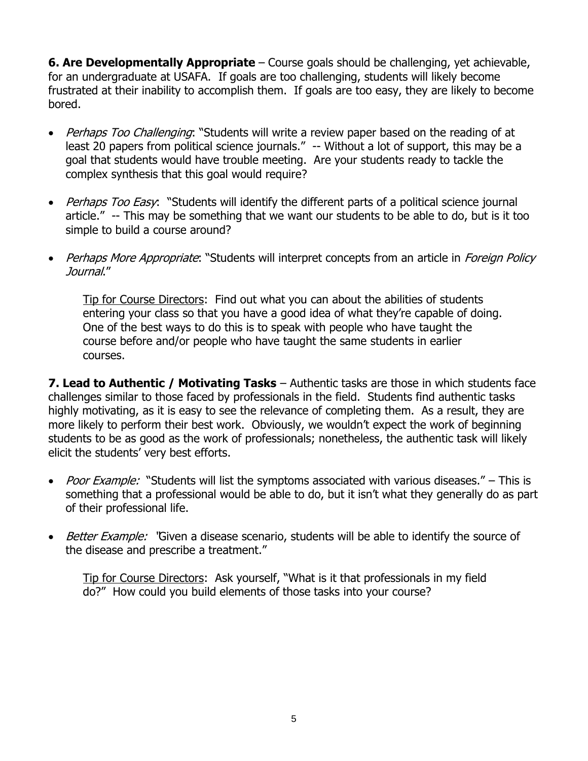**6. Are Developmentally Appropriate** – Course goals should be challenging, yet achievable, for an undergraduate at USAFA. If goals are too challenging, students will likely become frustrated at their inability to accomplish them. If goals are too easy, they are likely to become bored.

- Perhaps Too Challenging: "Students will write a review paper based on the reading of at least 20 papers from political science journals." -- Without a lot of support, this may be a goal that students would have trouble meeting. Are your students ready to tackle the complex synthesis that this goal would require?
- Perhaps Too Easy: "Students will identify the different parts of a political science journal article." -- This may be something that we want our students to be able to do, but is it too simple to build a course around?
- Perhaps More Appropriate: "Students will interpret concepts from an article in Foreign Policy Journal."

Tip for Course Directors: Find out what you can about the abilities of students entering your class so that you have a good idea of what they're capable of doing. One of the best ways to do this is to speak with people who have taught the course before and/or people who have taught the same students in earlier courses.

**7. Lead to Authentic / Motivating Tasks** – Authentic tasks are those in which students face challenges similar to those faced by professionals in the field. Students find authentic tasks highly motivating, as it is easy to see the relevance of completing them. As a result, they are more likely to perform their best work. Obviously, we wouldn't expect the work of beginning students to be as good as the work of professionals; nonetheless, the authentic task will likely elicit the students' very best efforts.

- Poor Example: "Students will list the symptoms associated with various diseases." This is something that a professional would be able to do, but it isn't what they generally do as part of their professional life.
- Better Example: "Given a disease scenario, students will be able to identify the source of the disease and prescribe a treatment."

Tip for Course Directors: Ask yourself, "What is it that professionals in my field do?" How could you build elements of those tasks into your course?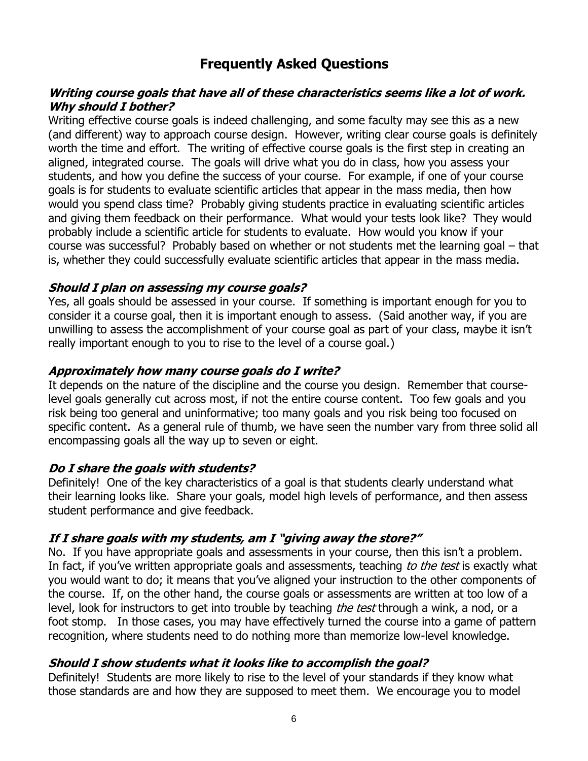## **Frequently Asked Questions**

#### **Writing course goals that have all of these characteristics seems like a lot of work. Why should I bother?**

Writing effective course goals is indeed challenging, and some faculty may see this as a new (and different) way to approach course design. However, writing clear course goals is definitely worth the time and effort. The writing of effective course goals is the first step in creating an aligned, integrated course. The goals will drive what you do in class, how you assess your students, and how you define the success of your course. For example, if one of your course goals is for students to evaluate scientific articles that appear in the mass media, then how would you spend class time? Probably giving students practice in evaluating scientific articles and giving them feedback on their performance. What would your tests look like? They would probably include a scientific article for students to evaluate. How would you know if your course was successful? Probably based on whether or not students met the learning goal – that is, whether they could successfully evaluate scientific articles that appear in the mass media.

#### **Should I plan on assessing my course goals?**

Yes, all goals should be assessed in your course. If something is important enough for you to consider it a course goal, then it is important enough to assess. (Said another way, if you are unwilling to assess the accomplishment of your course goal as part of your class, maybe it isn't really important enough to you to rise to the level of a course goal.)

#### **Approximately how many course goals do I write?**

It depends on the nature of the discipline and the course you design. Remember that courselevel goals generally cut across most, if not the entire course content. Too few goals and you risk being too general and uninformative; too many goals and you risk being too focused on specific content. As a general rule of thumb, we have seen the number vary from three solid all encompassing goals all the way up to seven or eight.

#### **Do I share the goals with students?**

Definitely! One of the key characteristics of a goal is that students clearly understand what their learning looks like. Share your goals, model high levels of performance, and then assess student performance and give feedback.

#### **If I share goals with my students, am I "giving away the store?"**

No. If you have appropriate goals and assessments in your course, then this isn't a problem. In fact, if you've written appropriate goals and assessments, teaching to the test is exactly what you would want to do; it means that you've aligned your instruction to the other components of the course. If, on the other hand, the course goals or assessments are written at too low of a level, look for instructors to get into trouble by teaching *the test* through a wink, a nod, or a foot stomp. In those cases, you may have effectively turned the course into a game of pattern recognition, where students need to do nothing more than memorize low-level knowledge.

#### **Should I show students what it looks like to accomplish the goal?**

Definitely! Students are more likely to rise to the level of your standards if they know what those standards are and how they are supposed to meet them. We encourage you to model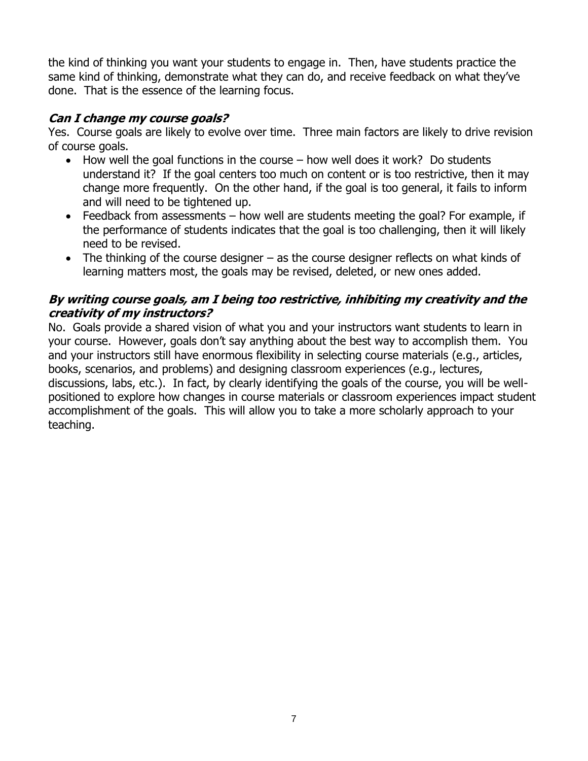the kind of thinking you want your students to engage in. Then, have students practice the same kind of thinking, demonstrate what they can do, and receive feedback on what they've done. That is the essence of the learning focus.

#### **Can I change my course goals?**

Yes. Course goals are likely to evolve over time. Three main factors are likely to drive revision of course goals.

- How well the goal functions in the course how well does it work? Do students understand it? If the goal centers too much on content or is too restrictive, then it may change more frequently. On the other hand, if the goal is too general, it fails to inform and will need to be tightened up.
- Feedback from assessments how well are students meeting the goal? For example, if the performance of students indicates that the goal is too challenging, then it will likely need to be revised.
- The thinking of the course designer as the course designer reflects on what kinds of learning matters most, the goals may be revised, deleted, or new ones added.

### **By writing course goals, am I being too restrictive, inhibiting my creativity and the creativity of my instructors?**

No. Goals provide a shared vision of what you and your instructors want students to learn in your course. However, goals don't say anything about the best way to accomplish them. You and your instructors still have enormous flexibility in selecting course materials (e.g., articles, books, scenarios, and problems) and designing classroom experiences (e.g., lectures, discussions, labs, etc.). In fact, by clearly identifying the goals of the course, you will be wellpositioned to explore how changes in course materials or classroom experiences impact student accomplishment of the goals. This will allow you to take a more scholarly approach to your teaching.